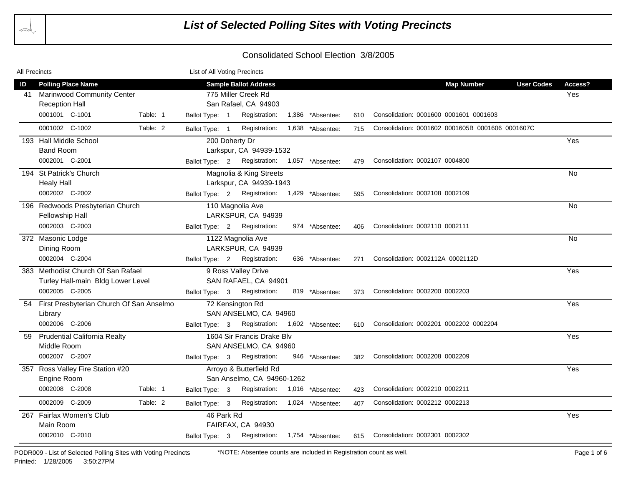| All Precincts |                                             |          | List of All Voting Precincts |                                               |                  |     |                                                  |                   |           |
|---------------|---------------------------------------------|----------|------------------------------|-----------------------------------------------|------------------|-----|--------------------------------------------------|-------------------|-----------|
| ID            | <b>Polling Place Name</b>                   |          |                              | <b>Sample Ballot Address</b>                  |                  |     | <b>Map Number</b>                                | <b>User Codes</b> | Access?   |
| 41            | <b>Marinwood Community Center</b>           |          |                              | 775 Miller Creek Rd                           |                  |     |                                                  |                   | Yes       |
|               | <b>Reception Hall</b>                       |          |                              | San Rafael, CA 94903                          |                  |     |                                                  |                   |           |
|               | 0001001 C-1001                              | Table: 1 | Ballot Type: 1               | Registration:                                 | 1,386 *Absentee: | 610 | Consolidation: 0001600 0001601 0001603           |                   |           |
|               | 0001002 C-1002                              | Table: 2 | Ballot Type: 1               | Registration:                                 | 1,638 *Absentee: | 715 | Consolidation: 0001602 0001605B 0001606 0001607C |                   |           |
|               | 193 Hall Middle School                      |          |                              | 200 Doherty Dr                                |                  |     |                                                  |                   | Yes       |
|               | <b>Band Room</b>                            |          |                              | Larkspur, CA 94939-1532                       |                  |     |                                                  |                   |           |
|               | 0002001 C-2001                              |          |                              | Ballot Type: 2 Registration: 1,057 *Absentee: |                  | 479 | Consolidation: 0002107 0004800                   |                   |           |
|               | 194 St Patrick's Church                     |          |                              | Magnolia & King Streets                       |                  |     |                                                  |                   | <b>No</b> |
|               | <b>Healy Hall</b>                           |          |                              | Larkspur, CA 94939-1943                       |                  |     |                                                  |                   |           |
|               | 0002002 C-2002                              |          |                              | Ballot Type: 2 Registration: 1,429 *Absentee: |                  | 595 | Consolidation: 0002108 0002109                   |                   |           |
|               | 196 Redwoods Presbyterian Church            |          |                              | 110 Magnolia Ave                              |                  |     |                                                  |                   | No        |
|               | Fellowship Hall                             |          |                              | LARKSPUR, CA 94939                            |                  |     |                                                  |                   |           |
|               | 0002003 C-2003                              |          | Ballot Type: 2               | Registration:                                 | 974 *Absentee:   | 406 | Consolidation: 0002110 0002111                   |                   |           |
|               | 372 Masonic Lodge                           |          |                              | 1122 Magnolia Ave                             |                  |     |                                                  |                   | No        |
|               | Dining Room                                 |          |                              | LARKSPUR, CA 94939                            |                  |     |                                                  |                   |           |
|               | 0002004 C-2004                              |          | Ballot Type: 2               | Registration:                                 | 636 *Absentee:   | 271 | Consolidation: 0002112A 0002112D                 |                   |           |
|               | 383 Methodist Church Of San Rafael          |          |                              | 9 Ross Valley Drive                           |                  |     |                                                  |                   | Yes       |
|               | Turley Hall-main Bldg Lower Level           |          |                              | SAN RAFAEL, CA 94901                          |                  |     |                                                  |                   |           |
|               | 0002005 C-2005                              |          |                              | Ballot Type: 3 Registration:                  | 819 *Absentee:   | 373 | Consolidation: 0002200 0002203                   |                   |           |
|               | 54 First Presbyterian Church Of San Anselmo |          |                              | 72 Kensington Rd                              |                  |     |                                                  |                   | Yes       |
|               | Library                                     |          |                              | SAN ANSELMO, CA 94960                         |                  |     |                                                  |                   |           |
|               | 0002006 C-2006                              |          | Ballot Type: 3               | Registration: 1,602 *Absentee:                |                  | 610 | Consolidation: 0002201 0002202 0002204           |                   |           |
| 59            | <b>Prudential California Realty</b>         |          |                              | 1604 Sir Francis Drake Blv                    |                  |     |                                                  |                   | Yes       |
|               | Middle Room                                 |          |                              | SAN ANSELMO, CA 94960                         |                  |     |                                                  |                   |           |
|               | 0002007 C-2007                              |          | Ballot Type: 3               | Registration:                                 | 946 *Absentee:   | 382 | Consolidation: 0002208 0002209                   |                   |           |
|               | 357 Ross Valley Fire Station #20            |          |                              | Arroyo & Butterfield Rd                       |                  |     |                                                  |                   | Yes       |
|               | Engine Room                                 |          |                              | San Anselmo, CA 94960-1262                    |                  |     |                                                  |                   |           |
|               | 0002008 C-2008                              | Table: 1 | Ballot Type: 3               | Registration: 1,016 *Absentee:                |                  | 423 | Consolidation: 0002210 0002211                   |                   |           |
|               | 0002009 C-2009                              | Table: 2 | Ballot Type: 3               | Registration: 1,024 *Absentee:                |                  | 407 | Consolidation: 0002212 0002213                   |                   |           |
|               | 267 Fairfax Women's Club                    |          | 46 Park Rd                   |                                               |                  |     |                                                  |                   | Yes       |
|               | Main Room                                   |          |                              | FAIRFAX, CA 94930                             |                  |     |                                                  |                   |           |
|               | 0002010 C-2010                              |          | Ballot Type: 3               | Registration: 1,754 *Absentee:                |                  | 615 | Consolidation: 0002301 0002302                   |                   |           |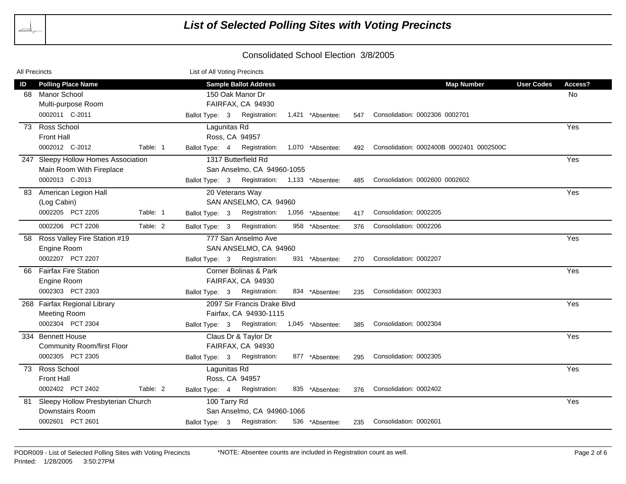| All Precincts |                                                                                   |          | List of All Voting Precincts   |                                                                                     |                  |     |                                          |                   |               |
|---------------|-----------------------------------------------------------------------------------|----------|--------------------------------|-------------------------------------------------------------------------------------|------------------|-----|------------------------------------------|-------------------|---------------|
| ID            | <b>Polling Place Name</b><br>68 Manor School<br>Multi-purpose Room                |          |                                | <b>Sample Ballot Address</b><br>150 Oak Manor Dr<br>FAIRFAX, CA 94930               |                  |     | <b>Map Number</b>                        | <b>User Codes</b> | Access?<br>No |
|               | 0002011 C-2011                                                                    |          | Ballot Type: 3                 | Registration:                                                                       | 1,421 *Absentee: | 547 | Consolidation: 0002306 0002701           |                   |               |
|               | 73 Ross School<br><b>Front Hall</b><br>0002012 C-2012                             | Table: 1 | Lagunitas Rd                   | Ross, CA 94957<br>Ballot Type: 4 Registration:                                      | 1,070 *Absentee: | 492 | Consolidation: 0002400B 0002401 0002500C |                   | Yes           |
|               | 247 Sleepy Hollow Homes Association<br>Main Room With Fireplace<br>0002013 C-2013 |          | Ballot Type: 3                 | 1317 Butterfield Rd<br>San Anselmo, CA 94960-1055<br>Registration: 1,133 *Absentee: |                  | 485 | Consolidation: 0002600 0002602           |                   | Yes           |
| 83            | American Legion Hall<br>(Log Cabin)<br>0002205 PCT 2205                           | Table: 1 | Ballot Type: 3                 | 20 Veterans Way<br>SAN ANSELMO, CA 94960<br>Registration:                           | 1,056 *Absentee: | 417 | Consolidation: 0002205                   |                   | Yes           |
|               | 0002206 PCT 2206                                                                  | Table: 2 | Ballot Type: 3                 | Registration:                                                                       | 958 *Absentee:   | 376 | Consolidation: 0002206                   |                   |               |
| 58            | Ross Valley Fire Station #19<br>Engine Room<br>0002207 PCT 2207                   |          | Ballot Type: 3                 | 777 San Anselmo Ave<br>SAN ANSELMO, CA 94960<br>Registration:                       | 931 *Absentee:   | 270 | Consolidation: 0002207                   |                   | Yes           |
| 66            | <b>Fairfax Fire Station</b><br>Engine Room<br>0002303 PCT 2303                    |          | Ballot Type: 3                 | Corner Bolinas & Park<br>FAIRFAX, CA 94930<br>Registration:                         | 834 *Absentee:   | 235 | Consolidation: 0002303                   |                   | Yes           |
|               | 268 Fairfax Regional Library<br><b>Meeting Room</b><br>0002304 PCT 2304           |          | Ballot Type: 3                 | 2097 Sir Francis Drake Blvd<br>Fairfax, CA 94930-1115<br>Registration:              | 1,045 *Absentee: | 385 | Consolidation: 0002304                   |                   | Yes           |
|               | 334 Bennett House<br><b>Community Room/first Floor</b><br>0002305 PCT 2305        |          | Ballot Type: 3                 | Claus Dr & Taylor Dr<br>FAIRFAX, CA 94930<br>Registration:                          | 877 *Absentee:   | 295 | Consolidation: 0002305                   |                   | Yes           |
| 73            | Ross School<br><b>Front Hall</b><br>0002402 PCT 2402                              | Table: 2 | Lagunitas Rd<br>Ballot Type: 4 | Ross, CA 94957<br>Registration:                                                     | 835 *Absentee:   | 376 | Consolidation: 0002402                   |                   | Yes           |
|               | 81 Sleepy Hollow Presbyterian Church<br>Downstairs Room<br>0002601 PCT 2601       |          | 100 Tarry Rd                   | San Anselmo, CA 94960-1066<br>Ballot Type: 3 Registration:                          | 536 *Absentee:   | 235 | Consolidation: 0002601                   |                   | Yes           |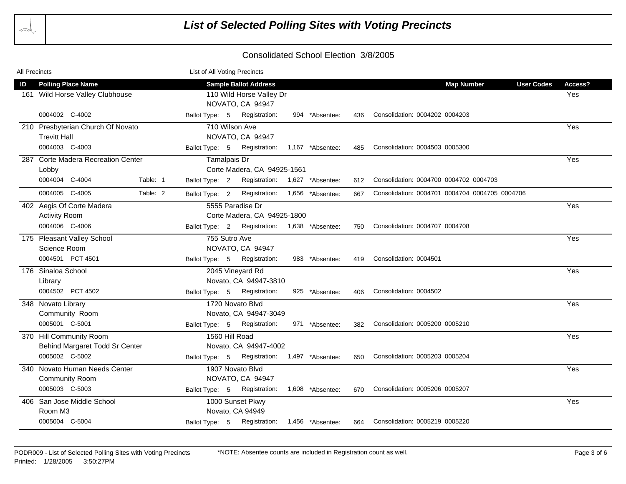| All Precincts |                                    |          | List of All Voting Precincts |                                               |                  |     |                                                |         |  |
|---------------|------------------------------------|----------|------------------------------|-----------------------------------------------|------------------|-----|------------------------------------------------|---------|--|
| ID            | <b>Polling Place Name</b>          |          |                              | <b>Sample Ballot Address</b>                  |                  |     | <b>Map Number</b><br><b>User Codes</b>         | Access? |  |
|               | 161 Wild Horse Valley Clubhouse    |          |                              | 110 Wild Horse Valley Dr                      |                  |     |                                                | Yes     |  |
|               |                                    |          |                              | NOVATO, CA 94947                              |                  |     |                                                |         |  |
|               | 0004002 C-4002                     |          | Ballot Type: 5               | Registration:                                 | 994 *Absentee:   | 436 | Consolidation: 0004202 0004203                 |         |  |
|               | 210 Presbyterian Church Of Novato  |          |                              | 710 Wilson Ave                                |                  |     |                                                | Yes     |  |
|               | <b>Trevitt Hall</b>                |          |                              | NOVATO, CA 94947                              |                  |     |                                                |         |  |
|               | 0004003 C-4003                     |          |                              | Ballot Type: 5 Registration:                  | 1,167 *Absentee: | 485 | Consolidation: 0004503 0005300                 |         |  |
|               | 287 Corte Madera Recreation Center |          | Tamalpais Dr                 |                                               |                  |     |                                                | Yes     |  |
|               | Lobby                              |          |                              | Corte Madera, CA 94925-1561                   |                  |     |                                                |         |  |
|               | 0004004 C-4004                     | Table: 1 | Ballot Type: 2               | Registration: 1,627 *Absentee:                |                  | 612 | Consolidation: 0004700 0004702 0004703         |         |  |
|               | 0004005 C-4005                     | Table: 2 | Ballot Type: 2               | Registration: 1,656 *Absentee:                |                  | 667 | Consolidation: 0004701 0004704 0004705 0004706 |         |  |
|               | 402 Aegis Of Corte Madera          |          |                              | 5555 Paradise Dr                              |                  |     |                                                | Yes     |  |
|               | <b>Activity Room</b>               |          |                              | Corte Madera, CA 94925-1800                   |                  |     |                                                |         |  |
|               | 0004006 C-4006                     |          |                              | Ballot Type: 2 Registration: 1,638 *Absentee: |                  | 750 | Consolidation: 0004707 0004708                 |         |  |
|               | 175 Pleasant Valley School         |          | 755 Sutro Ave                |                                               |                  |     |                                                | Yes     |  |
|               | Science Room                       |          |                              | NOVATO, CA 94947                              |                  |     |                                                |         |  |
|               | 0004501 PCT 4501                   |          |                              | Ballot Type: 5 Registration:                  | 983 *Absentee:   | 419 | Consolidation: 0004501                         |         |  |
|               | 176 Sinaloa School                 |          |                              | 2045 Vineyard Rd                              |                  |     |                                                | Yes     |  |
|               | Library                            |          |                              | Novato, CA 94947-3810                         |                  |     |                                                |         |  |
|               | 0004502 PCT 4502                   |          |                              | Ballot Type: 5 Registration:                  | 925 *Absentee:   | 406 | Consolidation: 0004502                         |         |  |
|               | 348 Novato Library                 |          |                              | 1720 Novato Blvd                              |                  |     |                                                | Yes     |  |
|               | Community Room                     |          |                              | Novato, CA 94947-3049                         |                  |     |                                                |         |  |
|               | 0005001 C-5001                     |          | Ballot Type: 5               | Registration:                                 | 971 *Absentee:   | 382 | Consolidation: 0005200 0005210                 |         |  |
|               | 370 Hill Community Room            |          |                              | 1560 Hill Road                                |                  |     |                                                | Yes     |  |
|               | Behind Margaret Todd Sr Center     |          |                              | Novato, CA 94947-4002                         |                  |     |                                                |         |  |
|               | 0005002 C-5002                     |          |                              | Ballot Type: 5 Registration: 1,497 *Absentee: |                  | 650 | Consolidation: 0005203 0005204                 |         |  |
|               | 340 Novato Human Needs Center      |          |                              | 1907 Novato Blvd                              |                  |     |                                                | Yes     |  |
|               | <b>Community Room</b>              |          |                              | NOVATO, CA 94947                              |                  |     |                                                |         |  |
|               | 0005003 C-5003                     |          |                              | Ballot Type: 5 Registration:                  | 1,608 *Absentee: | 670 | Consolidation: 0005206 0005207                 |         |  |
|               | 406 San Jose Middle School         |          |                              | 1000 Sunset Pkwy                              |                  |     |                                                | Yes     |  |
|               | Room M3                            |          |                              | Novato, CA 94949                              |                  |     |                                                |         |  |
|               | 0005004 C-5004                     |          |                              | Ballot Type: 5 Registration: 1,456 *Absentee: |                  | 664 | Consolidation: 0005219 0005220                 |         |  |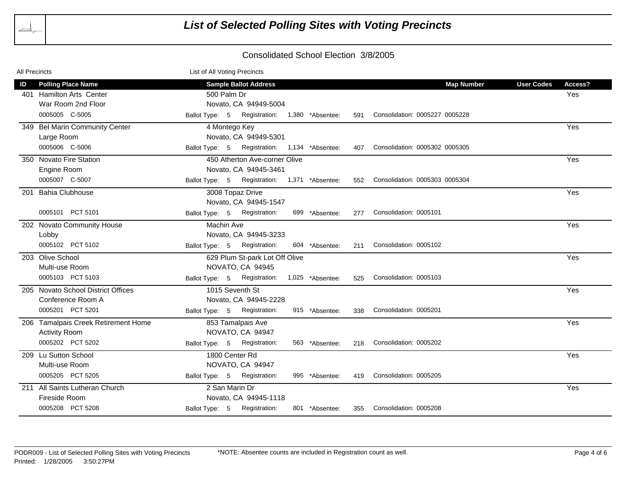| All Precincts |                                                                                               | List of All Voting Precincts                                                                                                                                                        |                                     |
|---------------|-----------------------------------------------------------------------------------------------|-------------------------------------------------------------------------------------------------------------------------------------------------------------------------------------|-------------------------------------|
| ID            | <b>Polling Place Name</b><br>401 Hamilton Arts Center<br>War Room 2nd Floor<br>0005005 C-5005 | <b>Sample Ballot Address</b><br><b>Map Number</b><br>500 Palm Dr<br>Novato, CA 94949-5004<br>Ballot Type: 5 Registration: 1,380 *Absentee:<br>Consolidation: 0005227 0005228<br>591 | <b>User Codes</b><br>Access?<br>Yes |
|               | 349 Bel Marin Community Center<br>Large Room<br>0005006 C-5006                                | 4 Montego Key<br>Novato, CA 94949-5301<br>Registration: 1,134 *Absentee:<br>Ballot Type: 5<br>Consolidation: 0005302 0005305<br>407                                                 | Yes                                 |
|               | 350 Novato Fire Station<br>Engine Room<br>0005007 C-5007                                      | 450 Atherton Ave-corner Olive<br>Novato, CA 94945-3461<br>Ballot Type: 5 Registration: 1,371 *Absentee:<br>Consolidation: 0005303 0005304<br>552                                    | Yes                                 |
| 201           | <b>Bahia Clubhouse</b><br>0005101 PCT 5101                                                    | 3008 Topaz Drive<br>Novato, CA 94945-1547<br>Registration:<br>Ballot Type: 5<br>Consolidation: 0005101<br>699 *Absentee:<br>277                                                     | Yes                                 |
|               | 202 Novato Community House<br>Lobby<br>0005102 PCT 5102                                       | Machin Ave<br>Novato, CA 94945-3233<br>Ballot Type: 5 Registration:<br>Consolidation: 0005102<br>604 *Absentee:<br>211                                                              | Yes                                 |
|               | 203 Olive School<br>Multi-use Room<br>0005103 PCT 5103                                        | 629 Plum St-park Lot Off Olive<br>NOVATO, CA 94945<br>Registration:<br>Consolidation: 0005103<br>Ballot Type: 5<br>1,025 *Absentee:<br>525                                          | Yes                                 |
|               | 205 Novato School District Offices<br>Conference Room A<br>0005201 PCT 5201                   | 1015 Seventh St<br>Novato, CA 94945-2228<br>Consolidation: 0005201<br>Registration:<br>Ballot Type: 5<br>915 *Absentee:<br>338                                                      | Yes                                 |
|               | 206 Tamalpais Creek Retirement Home<br><b>Activity Room</b><br>0005202 PCT 5202               | 853 Tamalpais Ave<br>NOVATO, CA 94947<br>Registration:<br>Consolidation: 0005202<br>Ballot Type: 5<br>563 *Absentee:<br>218                                                         | Yes                                 |
|               | 209 Lu Sutton School<br>Multi-use Room<br>0005205 PCT 5205                                    | 1800 Center Rd<br>NOVATO, CA 94947<br>Consolidation: 0005205<br>Registration:<br>Ballot Type: 5<br>995 *Absentee:<br>419                                                            | Yes                                 |
|               | 211 All Saints Lutheran Church<br>Fireside Room<br>0005208 PCT 5208                           | 2 San Marin Dr<br>Novato, CA 94945-1118<br>Registration:<br>Consolidation: 0005208<br>Ballot Type: 5<br>801 *Absentee:<br>355                                                       | Yes                                 |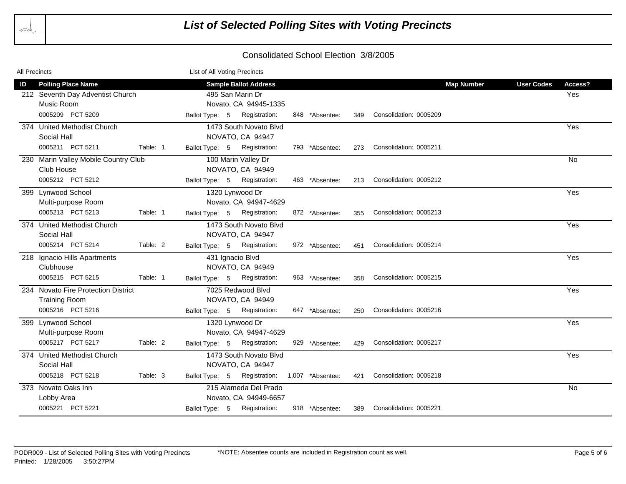| All Precincts |                                      |          | List of All Voting Precincts |                              |                  |     |                        |                   |                   |           |
|---------------|--------------------------------------|----------|------------------------------|------------------------------|------------------|-----|------------------------|-------------------|-------------------|-----------|
| ID            | <b>Polling Place Name</b>            |          |                              | <b>Sample Ballot Address</b> |                  |     |                        | <b>Map Number</b> | <b>User Codes</b> | Access?   |
|               | 212 Seventh Day Adventist Church     |          |                              | 495 San Marin Dr             |                  |     |                        |                   |                   | Yes       |
|               | Music Room                           |          |                              | Novato, CA 94945-1335        |                  |     |                        |                   |                   |           |
|               | 0005209 PCT 5209                     |          | Ballot Type: 5               | Registration:                | 848 *Absentee:   | 349 | Consolidation: 0005209 |                   |                   |           |
|               | 374 United Methodist Church          |          |                              | 1473 South Novato Blvd       |                  |     |                        |                   |                   | Yes       |
|               | Social Hall                          |          |                              | NOVATO, CA 94947             |                  |     |                        |                   |                   |           |
|               | 0005211 PCT 5211                     | Table: 1 | Ballot Type: 5               | Registration:                | 793 *Absentee:   | 273 | Consolidation: 0005211 |                   |                   |           |
|               | 230 Marin Valley Mobile Country Club |          |                              | 100 Marin Valley Dr          |                  |     |                        |                   |                   | <b>No</b> |
|               | Club House                           |          |                              | NOVATO, CA 94949             |                  |     |                        |                   |                   |           |
|               | 0005212 PCT 5212                     |          | Ballot Type: 5               | Registration:                | 463 *Absentee:   | 213 | Consolidation: 0005212 |                   |                   |           |
|               | 399 Lynwood School                   |          |                              | 1320 Lynwood Dr              |                  |     |                        |                   |                   | Yes       |
|               | Multi-purpose Room                   |          |                              | Novato, CA 94947-4629        |                  |     |                        |                   |                   |           |
|               | 0005213 PCT 5213                     | Table: 1 | Ballot Type: 5               | Registration:                | 872 *Absentee:   | 355 | Consolidation: 0005213 |                   |                   |           |
|               | 374 United Methodist Church          |          |                              | 1473 South Novato Blvd       |                  |     |                        |                   |                   | Yes       |
|               | Social Hall                          |          |                              | NOVATO, CA 94947             |                  |     |                        |                   |                   |           |
|               | 0005214 PCT 5214                     | Table: 2 | Ballot Type: 5               | Registration:                | 972 *Absentee:   | 451 | Consolidation: 0005214 |                   |                   |           |
|               | 218 Ignacio Hills Apartments         |          |                              | 431 Ignacio Blvd             |                  |     |                        |                   |                   | Yes       |
|               | Clubhouse                            |          |                              | NOVATO, CA 94949             |                  |     |                        |                   |                   |           |
|               | 0005215 PCT 5215                     | Table: 1 | Ballot Type: 5               | Registration:                | 963 *Absentee:   | 358 | Consolidation: 0005215 |                   |                   |           |
|               | 234 Novato Fire Protection District  |          |                              | 7025 Redwood Blvd            |                  |     |                        |                   |                   | Yes       |
|               | <b>Training Room</b>                 |          |                              | NOVATO, CA 94949             |                  |     |                        |                   |                   |           |
|               | 0005216 PCT 5216                     |          | Ballot Type: 5               | Registration:                | 647 *Absentee:   | 250 | Consolidation: 0005216 |                   |                   |           |
|               | 399 Lynwood School                   |          |                              | 1320 Lynwood Dr              |                  |     |                        |                   |                   | Yes       |
|               | Multi-purpose Room                   |          |                              | Novato, CA 94947-4629        |                  |     |                        |                   |                   |           |
|               | 0005217 PCT 5217                     | Table: 2 | Ballot Type: 5               | Registration:                | 929 *Absentee:   | 429 | Consolidation: 0005217 |                   |                   |           |
|               | 374 United Methodist Church          |          |                              | 1473 South Novato Blvd       |                  |     |                        |                   |                   | Yes       |
|               | Social Hall                          |          |                              | NOVATO, CA 94947             |                  |     |                        |                   |                   |           |
|               | 0005218 PCT 5218                     | Table: 3 | Ballot Type: 5               | Registration:                | 1,007 *Absentee: | 421 | Consolidation: 0005218 |                   |                   |           |
|               | 373 Novato Oaks Inn                  |          |                              | 215 Alameda Del Prado        |                  |     |                        |                   |                   | No        |
|               | Lobby Area                           |          |                              | Novato, CA 94949-6657        |                  |     |                        |                   |                   |           |
|               | 0005221 PCT 5221                     |          | Ballot Type: 5               | Registration:                | 918 *Absentee:   | 389 | Consolidation: 0005221 |                   |                   |           |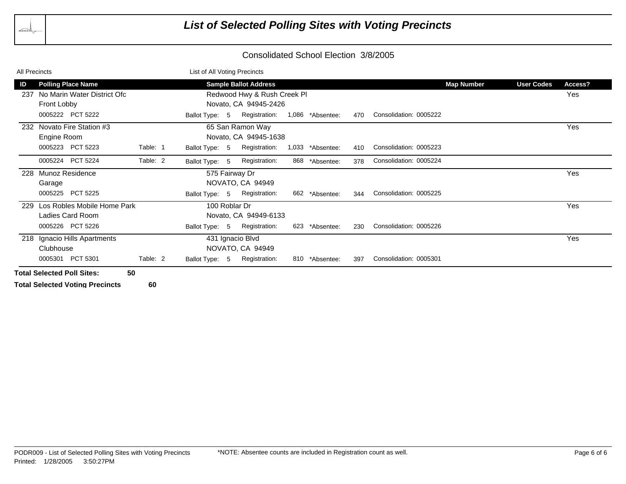| All Precincts                                                                                            |          | List of All Voting Precincts                                                                                            |                     |     |                        |                   |                                     |
|----------------------------------------------------------------------------------------------------------|----------|-------------------------------------------------------------------------------------------------------------------------|---------------------|-----|------------------------|-------------------|-------------------------------------|
| <b>Polling Place Name</b><br>ID<br>No Marin Water District Ofc<br>237<br>Front Lobby<br>0005222 PCT 5222 |          | <b>Sample Ballot Address</b><br>Redwood Hwy & Rush Creek Pl<br>Novato, CA 94945-2426<br>Registration:<br>Ballot Type: 5 | 1,086<br>*Absentee: | 470 | Consolidation: 0005222 | <b>Map Number</b> | <b>User Codes</b><br>Access?<br>Yes |
| 232 Novato Fire Station #3<br>Engine Room<br>0005223 PCT 5223                                            | Table: 1 | 65 San Ramon Way<br>Novato, CA 94945-1638<br>Registration:<br>Ballot Type: 5                                            | 1,033<br>*Absentee: | 410 | Consolidation: 0005223 |                   | Yes                                 |
| 0005224 PCT 5224                                                                                         | Table: 2 | Registration:<br>Ballot Type: 5                                                                                         | 868<br>*Absentee:   | 378 | Consolidation: 0005224 |                   |                                     |
| 228 Munoz Residence<br>Garage<br>0005225 PCT 5225                                                        |          | 575 Fairway Dr<br>NOVATO, CA 94949<br>Registration:<br>Ballot Type: 5                                                   | 662<br>*Absentee:   | 344 | Consolidation: 0005225 |                   | Yes                                 |
| Los Robles Mobile Home Park<br>229<br>Ladies Card Room<br>0005226 PCT 5226                               |          | 100 Roblar Dr<br>Novato, CA 94949-6133<br>Registration:<br>Ballot Type: 5                                               | 623<br>*Absentee:   | 230 | Consolidation: 0005226 |                   | Yes                                 |
| 218 Ignacio Hills Apartments<br>Clubhouse<br>0005301 PCT 5301                                            | Table: 2 | 431 Ignacio Blvd<br>NOVATO, CA 94949<br>Registration:<br>Ballot Type: 5                                                 | 810<br>*Absentee:   | 397 | Consolidation: 0005301 |                   | Yes                                 |
| <b>Total Selected Poll Sites:</b>                                                                        | 50       |                                                                                                                         |                     |     |                        |                   |                                     |

**Total Selected Voting Precincts 60**